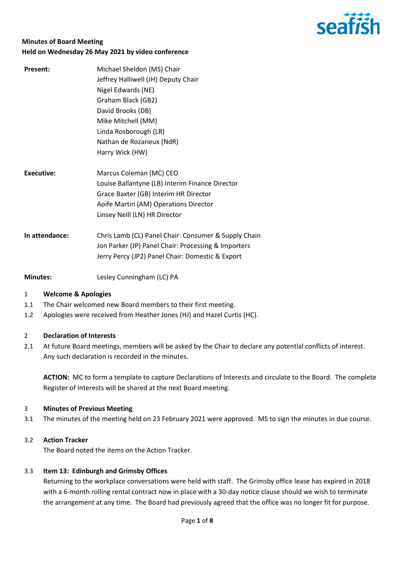

# **Minutes of Board Meeting Held on Wednesday 26 May 2021 by video conference**

| <b>Present:</b> | Michael Sheldon (MS) Chair                      |
|-----------------|-------------------------------------------------|
|                 | Jeffrey Halliwell (JH) Deputy Chair             |
|                 | Nigel Edwards (NE)                              |
|                 | Graham Black (GB2)                              |
|                 | David Brooks (DB)                               |
|                 | Mike Mitchell (MM)                              |
|                 | Linda Rosborough (LR)                           |
|                 | Nathan de Rozarieux (NdR)                       |
|                 | Harry Wick (HW)                                 |
| Executive:      | Marcus Coleman (MC) CEO                         |
|                 | Louise Ballantyne (LB) Interim Finance Director |
|                 | Grace Baxter (GB) Interim HR Director           |
|                 | Aoife Martin (AM) Operations Director           |
|                 | Linsey Neill (LN) HR Director                   |

**In attendance:** Chris Lamb (CL) Panel Chair: Consumer & Supply Chain Jon Parker (JP) Panel Chair: Processing & Importers Jerry Percy (JP2) Panel Chair: Domestic & Export

**Minutes:** Lesley Cunningham (LC) PA

# 1 **Welcome & Apologies**

- 1.1 The Chair welcomed new Board members to their first meeting.
- 1.2 Apologies were received from Heather Jones (HJ) and Hazel Curtis (HC).

### 2 **Declaration of Interests**

2.1 At future Board meetings, members will be asked by the Chair to declare any potential conflicts of interest. Any such declaration is recorded in the minutes.

**ACTION:** MC to form a template to capture Declarations of Interests and circulate to the Board. The complete Register of Interests will be shared at the next Board meeting.

## 3 **Minutes of Previous Meeting**

3.1 The minutes of the meeting held on 23 February 2021 were approved. MS to sign the minutes in due course.

### 3.2 **Action Tracker**

The Board noted the items on the Action Tracker.

### 3.3 **Item 13: Edinburgh and Grimsby Offices**

Returning to the workplace conversations were held with staff. The Grimsby office lease has expired in 2018 with a 6-month rolling rental contract now in place with a 30-day notice clause should we wish to terminate the arrangement at any time. The Board had previously agreed that the office was no longer fit for purpose.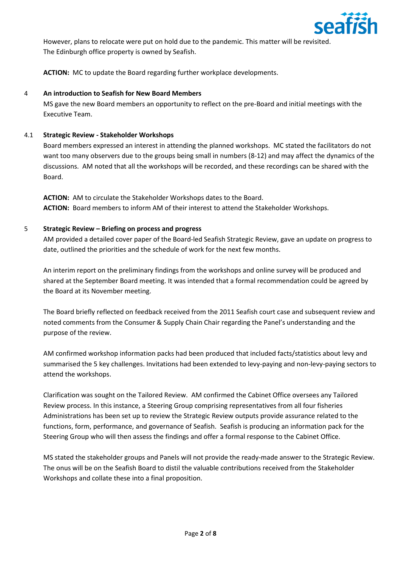

However, plans to relocate were put on hold due to the pandemic. This matter will be revisited. The Edinburgh office property is owned by Seafish.

**ACTION:** MC to update the Board regarding further workplace developments.

# 4 **An introduction to Seafish for New Board Members**

MS gave the new Board members an opportunity to reflect on the pre-Board and initial meetings with the Executive Team.

## 4.1 **Strategic Review - Stakeholder Workshops**

Board members expressed an interest in attending the planned workshops. MC stated the facilitators do not want too many observers due to the groups being small in numbers (8-12) and may affect the dynamics of the discussions. AM noted that all the workshops will be recorded, and these recordings can be shared with the Board.

**ACTION:** AM to circulate the Stakeholder Workshops dates to the Board. **ACTION:** Board members to inform AM of their interest to attend the Stakeholder Workshops.

## 5 **Strategic Review – Briefing on process and progress**

AM provided a detailed cover paper of the Board-led Seafish Strategic Review, gave an update on progress to date, outlined the priorities and the schedule of work for the next few months.

An interim report on the preliminary findings from the workshops and online survey will be produced and shared at the September Board meeting. It was intended that a formal recommendation could be agreed by the Board at its November meeting.

The Board briefly reflected on feedback received from the 2011 Seafish court case and subsequent review and noted comments from the Consumer & Supply Chain Chair regarding the Panel's understanding and the purpose of the review.

AM confirmed workshop information packs had been produced that included facts/statistics about levy and summarised the 5 key challenges. Invitations had been extended to levy-paying and non-levy-paying sectors to attend the workshops.

Clarification was sought on the Tailored Review. AM confirmed the Cabinet Office oversees any Tailored Review process. In this instance, a Steering Group comprising representatives from all four fisheries Administrations has been set up to review the Strategic Review outputs provide assurance related to the functions, form, performance, and governance of Seafish. Seafish is producing an information pack for the Steering Group who will then assess the findings and offer a formal response to the Cabinet Office.

MS stated the stakeholder groups and Panels will not provide the ready-made answer to the Strategic Review. The onus will be on the Seafish Board to distil the valuable contributions received from the Stakeholder Workshops and collate these into a final proposition.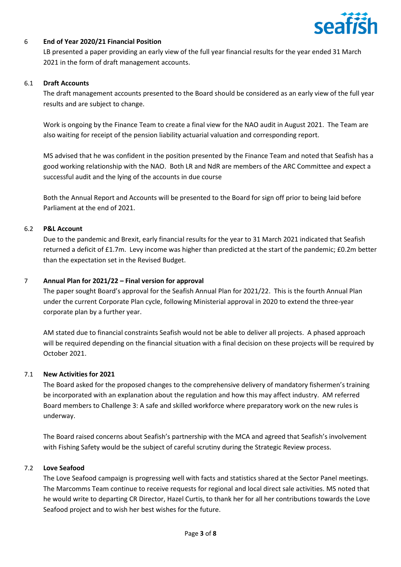

## 6 **End of Year 2020/21 Financial Position**

LB presented a paper providing an early view of the full year financial results for the year ended 31 March 2021 in the form of draft management accounts.

### 6.1 **Draft Accounts**

The draft management accounts presented to the Board should be considered as an early view of the full year results and are subject to change.

Work is ongoing by the Finance Team to create a final view for the NAO audit in August 2021. The Team are also waiting for receipt of the pension liability actuarial valuation and corresponding report.

MS advised that he was confident in the position presented by the Finance Team and noted that Seafish has a good working relationship with the NAO. Both LR and NdR are members of the ARC Committee and expect a successful audit and the lying of the accounts in due course

Both the Annual Report and Accounts will be presented to the Board for sign off prior to being laid before Parliament at the end of 2021.

### 6.2 **P&L Account**

Due to the pandemic and Brexit, early financial results for the year to 31 March 2021 indicated that Seafish returned a deficit of £1.7m. Levy income was higher than predicted at the start of the pandemic; £0.2m better than the expectation set in the Revised Budget.

## 7 **Annual Plan for 2021/22 – Final version for approval**

The paper sought Board's approval for the Seafish Annual Plan for 2021/22. This is the fourth Annual Plan under the current Corporate Plan cycle, following Ministerial approval in 2020 to extend the three-year corporate plan by a further year.

AM stated due to financial constraints Seafish would not be able to deliver all projects. A phased approach will be required depending on the financial situation with a final decision on these projects will be required by October 2021.

### 7.1 **New Activities for 2021**

The Board asked for the proposed changes to the comprehensive delivery of mandatory fishermen's training be incorporated with an explanation about the regulation and how this may affect industry. AM referred Board members to Challenge 3: A safe and skilled workforce where preparatory work on the new rules is underway.

The Board raised concerns about Seafish's partnership with the MCA and agreed that Seafish's involvement with Fishing Safety would be the subject of careful scrutiny during the Strategic Review process.

### 7.2 **Love Seafood**

The Love Seafood campaign is progressing well with facts and statistics shared at the Sector Panel meetings. The Marcomms Team continue to receive requests for regional and local direct sale activities. MS noted that he would write to departing CR Director, Hazel Curtis, to thank her for all her contributions towards the Love Seafood project and to wish her best wishes for the future.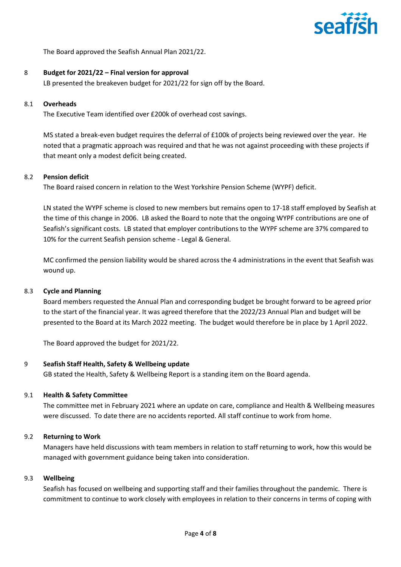

The Board approved the Seafish Annual Plan 2021/22.

### 8 **Budget for 2021/22 – Final version for approval**

LB presented the breakeven budget for 2021/22 for sign off by the Board.

### 8.1 **Overheads**

The Executive Team identified over £200k of overhead cost savings.

MS stated a break-even budget requires the deferral of £100k of projects being reviewed over the year. He noted that a pragmatic approach was required and that he was not against proceeding with these projects if that meant only a modest deficit being created.

## 8.2 **Pension deficit**

The Board raised concern in relation to the West Yorkshire Pension Scheme (WYPF) deficit.

LN stated the WYPF scheme is closed to new members but remains open to 17-18 staff employed by Seafish at the time of this change in 2006. LB asked the Board to note that the ongoing WYPF contributions are one of Seafish's significant costs. LB stated that employer contributions to the WYPF scheme are 37% compared to 10% for the current Seafish pension scheme - Legal & General.

MC confirmed the pension liability would be shared across the 4 administrations in the event that Seafish was wound up.

### 8.3 **Cycle and Planning**

Board members requested the Annual Plan and corresponding budget be brought forward to be agreed prior to the start of the financial year. It was agreed therefore that the 2022/23 Annual Plan and budget will be presented to the Board at its March 2022 meeting. The budget would therefore be in place by 1 April 2022.

The Board approved the budget for 2021/22.

### 9 **Seafish Staff Health, Safety & Wellbeing update**

GB stated the Health, Safety & Wellbeing Report is a standing item on the Board agenda.

### 9.1 **Health & Safety Committee**

The committee met in February 2021 where an update on care, compliance and Health & Wellbeing measures were discussed. To date there are no accidents reported. All staff continue to work from home.

### 9.2 **Returning to Work**

Managers have held discussions with team members in relation to staff returning to work, how this would be managed with government guidance being taken into consideration.

### 9.3 **Wellbeing**

Seafish has focused on wellbeing and supporting staff and their families throughout the pandemic. There is commitment to continue to work closely with employees in relation to their concerns in terms of coping with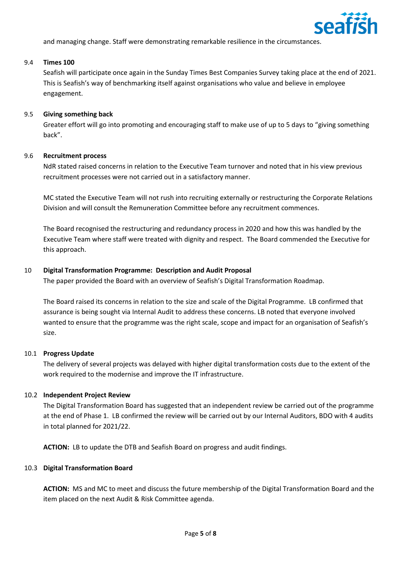

and managing change. Staff were demonstrating remarkable resilience in the circumstances.

#### 9.4 **Times 100**

Seafish will participate once again in the Sunday Times Best Companies Survey taking place at the end of 2021. This is Seafish's way of benchmarking itself against organisations who value and believe in employee engagement.

#### 9.5 **Giving something back**

Greater effort will go into promoting and encouraging staff to make use of up to 5 days to "giving something back".

#### 9.6 **Recruitment process**

NdR stated raised concerns in relation to the Executive Team turnover and noted that in his view previous recruitment processes were not carried out in a satisfactory manner.

MC stated the Executive Team will not rush into recruiting externally or restructuring the Corporate Relations Division and will consult the Remuneration Committee before any recruitment commences.

The Board recognised the restructuring and redundancy process in 2020 and how this was handled by the Executive Team where staff were treated with dignity and respect. The Board commended the Executive for this approach.

### 10 **Digital Transformation Programme: Description and Audit Proposal**

The paper provided the Board with an overview of Seafish's Digital Transformation Roadmap.

The Board raised its concerns in relation to the size and scale of the Digital Programme. LB confirmed that assurance is being sought via Internal Audit to address these concerns. LB noted that everyone involved wanted to ensure that the programme was the right scale, scope and impact for an organisation of Seafish's size.

### 10.1 **Progress Update**

The delivery of several projects was delayed with higher digital transformation costs due to the extent of the work required to the modernise and improve the IT infrastructure.

### 10.2 **Independent Project Review**

The Digital Transformation Board has suggested that an independent review be carried out of the programme at the end of Phase 1. LB confirmed the review will be carried out by our Internal Auditors, BDO with 4 audits in total planned for 2021/22.

**ACTION:** LB to update the DTB and Seafish Board on progress and audit findings.

#### 10.3 **Digital Transformation Board**

**ACTION:** MS and MC to meet and discuss the future membership of the Digital Transformation Board and the item placed on the next Audit & Risk Committee agenda.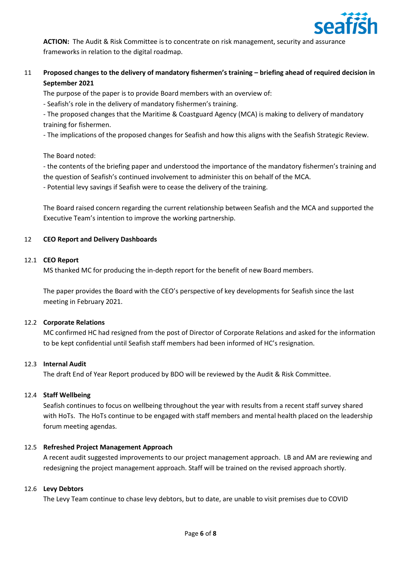

**ACTION:** The Audit & Risk Committee is to concentrate on risk management, security and assurance frameworks in relation to the digital roadmap.

# 11 **Proposed changes to the delivery of mandatory fishermen's training – briefing ahead of required decision in September 2021**

The purpose of the paper is to provide Board members with an overview of:

- Seafish's role in the delivery of mandatory fishermen's training.

- The proposed changes that the Maritime & Coastguard Agency (MCA) is making to delivery of mandatory training for fishermen.

- The implications of the proposed changes for Seafish and how this aligns with the Seafish Strategic Review.

The Board noted:

- the contents of the briefing paper and understood the importance of the mandatory fishermen's training and the question of Seafish's continued involvement to administer this on behalf of the MCA.

- Potential levy savings if Seafish were to cease the delivery of the training.

The Board raised concern regarding the current relationship between Seafish and the MCA and supported the Executive Team's intention to improve the working partnership.

## 12 **CEO Report and Delivery Dashboards**

### 12.1 **CEO Report**

MS thanked MC for producing the in-depth report for the benefit of new Board members.

The paper provides the Board with the CEO's perspective of key developments for Seafish since the last meeting in February 2021.

### 12.2 **Corporate Relations**

MC confirmed HC had resigned from the post of Director of Corporate Relations and asked for the information to be kept confidential until Seafish staff members had been informed of HC's resignation.

### 12.3 **Internal Audit**

The draft End of Year Report produced by BDO will be reviewed by the Audit & Risk Committee.

### 12.4 **Staff Wellbeing**

Seafish continues to focus on wellbeing throughout the year with results from a recent staff survey shared with HoTs. The HoTs continue to be engaged with staff members and mental health placed on the leadership forum meeting agendas.

## 12.5 **Refreshed Project Management Approach**

A recent audit suggested improvements to our project management approach. LB and AM are reviewing and redesigning the project management approach. Staff will be trained on the revised approach shortly.

### 12.6 **Levy Debtors**

The Levy Team continue to chase levy debtors, but to date, are unable to visit premises due to COVID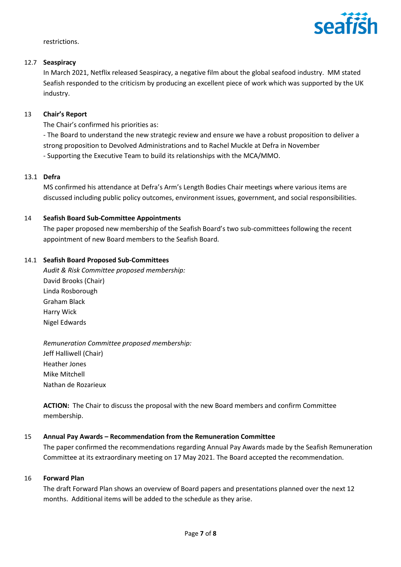

restrictions.

### 12.7 **Seaspiracy**

In March 2021, Netflix released Seaspiracy, a negative film about the global seafood industry. MM stated Seafish responded to the criticism by producing an excellent piece of work which was supported by the UK industry.

## 13 **Chair's Report**

The Chair's confirmed his priorities as:

- The Board to understand the new strategic review and ensure we have a robust proposition to deliver a strong proposition to Devolved Administrations and to Rachel Muckle at Defra in November - Supporting the Executive Team to build its relationships with the MCA/MMO.

## 13.1 **Defra**

MS confirmed his attendance at Defra's Arm's Length Bodies Chair meetings where various items are discussed including public policy outcomes, environment issues, government, and social responsibilities.

## 14 **Seafish Board Sub-Committee Appointments**

The paper proposed new membership of the Seafish Board's two sub-committees following the recent appointment of new Board members to the Seafish Board.

### 14.1 **Seafish Board Proposed Sub-Committees**

*Audit & Risk Committee proposed membership:* David Brooks (Chair) Linda Rosborough Graham Black Harry Wick Nigel Edwards

*Remuneration Committee proposed membership:* Jeff Halliwell (Chair) Heather Jones Mike Mitchell Nathan de Rozarieux

**ACTION:** The Chair to discuss the proposal with the new Board members and confirm Committee membership.

### 15 **Annual Pay Awards – Recommendation from the Remuneration Committee**

The paper confirmed the recommendations regarding Annual Pay Awards made by the Seafish Remuneration Committee at its extraordinary meeting on 17 May 2021. The Board accepted the recommendation.

### 16 **Forward Plan**

The draft Forward Plan shows an overview of Board papers and presentations planned over the next 12 months. Additional items will be added to the schedule as they arise.